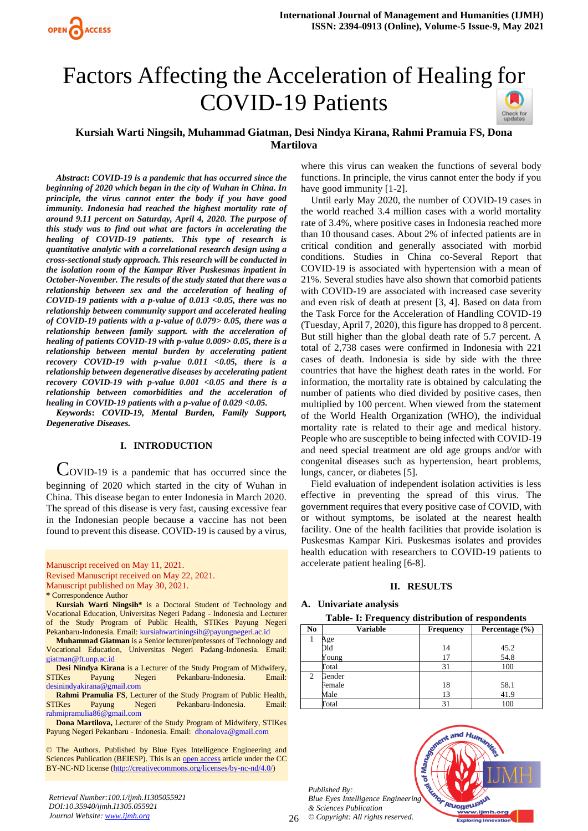

# Factors Affecting the Acceleration of Healing for COVID-19 Patients heck for

# **Kursiah Warti Ningsih, Muhammad Giatman, Desi Nindya Kirana, Rahmi Pramuia FS, Dona Martilova**

*Abstract***:** *COVID-19 is a pandemic that has occurred since the beginning of 2020 which began in the city of Wuhan in China. In principle, the virus cannot enter the body if you have good immunity. Indonesia had reached the highest mortality rate of around 9.11 percent on Saturday, April 4, 2020. The purpose of this study was to find out what are factors in accelerating the healing of COVID-19 patients. This type of research is quantitative analytic with a correlational research design using a cross-sectional study approach. This research will be conducted in the isolation room of the Kampar River Puskesmas inpatient in October-November. The results of the study stated that there was a relationship between sex and the acceleration of healing of COVID-19 patients with a p-value of 0.013 <0.05, there was no relationship between community support and accelerated healing of COVID-19 patients with a p-value of 0.079> 0.05, there was a relationship between family support. with the acceleration of healing of patients COVID-19 with p-value 0.009> 0.05, there is a relationship between mental burden by accelerating patient recovery COVID-19 with p-value 0.011 <0.05, there is a relationship between degenerative diseases by accelerating patient recovery COVID-19 with p-value 0.001 <0.05 and there is a relationship between comorbidities and the acceleration of healing in COVID-19 patients with a p-value of 0.029 <0.05.*

*Keywords***:** *COVID-19, Mental Burden, Family Support, Degenerative Diseases.* 

#### **I. INTRODUCTION**

COVID-19 is a pandemic that has occurred since the beginning of 2020 which started in the city of Wuhan in China. This disease began to enter Indonesia in March 2020. The spread of this disease is very fast, causing excessive fear in the Indonesian people because a vaccine has not been found to prevent this disease. COVID-19 is caused by a virus,

Manuscript received on May 11, 2021.

Revised Manuscript received on May 22, 2021.

Manuscript published on May 30, 2021.

**Kursiah Warti Ningsih\*** is a Doctoral Student of Technology and Vocational Education, Universitas Negeri Padang - Indonesia and Lecturer of the Study Program of Public Health, STIKes Payung Negeri Pekanbaru-Indonesia. Email[: kursiahwartiningsih@payungnegeri.ac.id](mailto:kursiahwartiningsih@payungnegeri.ac.id)

**Muhammad Giatman** is a Senior lecturer/professors of Technology and Vocational Education, Universitas Negeri Padang-Indonesia. Email: [giatman@ft.unp.ac.id](mailto:giatman@ft.unp.ac.id)

**Desi Nindya Kirana** is a Lecturer of the Study Program of Midwifery, STIKes Payung Negeri Pekanbaru-Indonesia. Email: [desinindyakirana@gmail.com](mailto:desinindyakirana@gmail.com)

**Rahmi Pramulia FS**, Lecturer of the Study Program of Public Health, STIKes Payung Negeri Pekanbaru-Indonesia. Email: [rahmipramulia86@gmail.com](mailto:rahmipramulia86@gmail.com)

**Dona Martilova,** Lecturer of the Study Program of Midwifery, STIKes Payung Negeri Pekanbaru - Indonesia. Email: [dhonalova@gmail.com](mailto:dhonalova@gmail.com)

© The Authors. Published by Blue Eyes Intelligence Engineering and Sciences Publication (BEIESP). This is an [open access](https://www.openaccess.nl/en/open-publications) article under the CC BY-NC-ND license [\(http://creativecommons.org/licenses/by-nc-nd/4.0/\)](http://creativecommons.org/licenses/by-nc-nd/4.0/)

where this virus can weaken the functions of several body functions. In principle, the virus cannot enter the body if you have good immunity [1-2].

Until early May 2020, the number of COVID-19 cases in the world reached 3.4 million cases with a world mortality rate of 3.4%, where positive cases in Indonesia reached more than 10 thousand cases. About 2% of infected patients are in critical condition and generally associated with morbid conditions. Studies in China co-Several Report that COVID-19 is associated with hypertension with a mean of 21%. Several studies have also shown that comorbid patients with COVID-19 are associated with increased case severity and even risk of death at present [3, 4]. Based on data from the Task Force for the Acceleration of Handling COVID-19 (Tuesday, April 7, 2020), this figure has dropped to 8 percent. But still higher than the global death rate of 5.7 percent. A total of 2,738 cases were confirmed in Indonesia with 221 cases of death. Indonesia is side by side with the three countries that have the highest death rates in the world. For information, the mortality rate is obtained by calculating the number of patients who died divided by positive cases, then multiplied by 100 percent. When viewed from the statement of the World Health Organization (WHO), the individual mortality rate is related to their age and medical history. People who are susceptible to being infected with COVID-19 and need special treatment are old age groups and/or with congenital diseases such as hypertension, heart problems, lungs, cancer, or diabetes [5].

Field evaluation of independent isolation activities is less effective in preventing the spread of this virus. The government requires that every positive case of COVID, with or without symptoms, be isolated at the nearest health facility. One of the health facilities that provide isolation is Puskesmas Kampar Kiri. Puskesmas isolates and provides health education with researchers to COVID-19 patients to accelerate patient healing [6-8].

#### **II. RESULTS**

#### **A. Univariate analysis**

#### **Table- I: Frequency distribution of respondents**

|        | <b>Frequency</b> | Percentage $(\% )$ |
|--------|------------------|--------------------|
| Age    |                  |                    |
| bld    | 14               | 45.2               |
| Young  | 17               | 54.8               |
| Total  | 31               | 100                |
| Gender |                  |                    |
| Female | 18               | 58.1               |
| Male   | 13               | 41.9               |
| Total  | 31               | 100                |
|        |                  | <b>Variable</b>    |

*Published By: Blue Eyes Intelligence Engineering & Sciences Publication © Copyright: All rights reserved.*



and Hum

26

**<sup>\*</sup>** Correspondence Author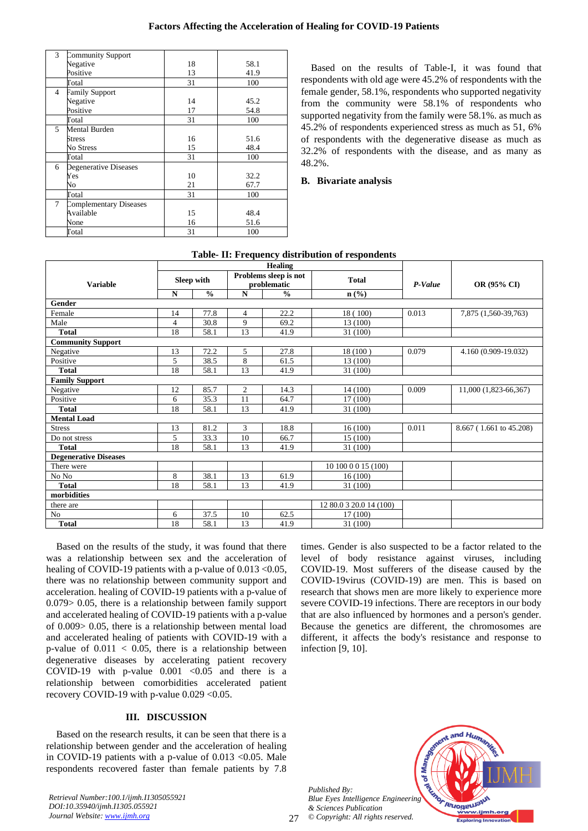| 3              | Community Support      |    |      |
|----------------|------------------------|----|------|
|                | Negative               | 18 | 58.1 |
|                | Positive               | 13 | 41.9 |
|                | Total                  | 31 | 100  |
| $\overline{4}$ | <b>Family Support</b>  |    |      |
|                | Negative               | 14 | 45.2 |
|                | Positive               | 17 | 54.8 |
|                | Γotal                  | 31 | 100  |
| 5              | Mental Burden          |    |      |
|                | Stress                 | 16 | 51.6 |
|                | No Stress              | 15 | 48.4 |
|                | Γotal                  | 31 | 100  |
| 6              | Degenerative Diseases  |    |      |
|                | Yes                    | 10 | 32.2 |
|                | No                     | 21 | 67.7 |
|                | <b>Total</b>           | 31 | 100  |
| 7              | Complementary Diseases |    |      |
|                | Available              | 15 | 48.4 |
|                | None                   | 16 | 51.6 |
|                | Гоtal                  | 31 | 100  |

Based on the results of Table-I, it was found that respondents with old age were 45.2% of respondents with the female gender, 58.1%, respondents who supported negativity from the community were 58.1% of respondents who supported negativity from the family were 58.1%. as much as 45.2% of respondents experienced stress as much as 51, 6% of respondents with the degenerative disease as much as 32.2% of respondents with the disease, and as many as 48.2%.

## **B. Bivariate analysis**

|                              | <b>Healing</b>    |               |                                      |               |                         |         |                         |
|------------------------------|-------------------|---------------|--------------------------------------|---------------|-------------------------|---------|-------------------------|
| <b>Variable</b>              | <b>Sleep with</b> |               | Problems sleep is not<br>problematic |               | <b>Total</b>            | P-Value | OR (95% CI)             |
|                              | N                 | $\frac{0}{0}$ | ${\bf N}$                            | $\frac{0}{0}$ | n(%)                    |         |                         |
| Gender                       |                   |               |                                      |               |                         |         |                         |
| Female                       | 14                | 77.8          | 4                                    | 22.2          | 18 (100)                | 0.013   | 7,875 (1,560-39,763)    |
| Male                         | $\overline{4}$    | 30.8          | 9                                    | 69.2          | 13 (100)                |         |                         |
| <b>Total</b>                 | 18                | 58.1          | 13                                   | 41.9          | 31 (100)                |         |                         |
| <b>Community Support</b>     |                   |               |                                      |               |                         |         |                         |
| Negative                     | 13                | 72.2          | 5                                    | 27.8          | 18(100)                 | 0.079   | 4.160 (0.909-19.032)    |
| Positive                     | 5                 | 38.5          | 8                                    | 61.5          | 13 (100)                |         |                         |
| <b>Total</b>                 | 18                | 58.1          | 13                                   | 41.9          | 31 (100)                |         |                         |
| <b>Family Support</b>        |                   |               |                                      |               |                         |         |                         |
| Negative                     | 12                | 85.7          | $\overline{c}$                       | 14.3          | 14 (100)                | 0.009   | 11,000 (1,823-66,367)   |
| Positive                     | 6                 | 35.3          | 11                                   | 64.7          | 17 (100)                |         |                         |
| <b>Total</b>                 | 18                | 58.1          | 13                                   | 41.9          | 31 (100)                |         |                         |
| <b>Mental Load</b>           |                   |               |                                      |               |                         |         |                         |
| <b>Stress</b>                | 13                | 81.2          | 3                                    | 18.8          | 16(100)                 | 0.011   | 8.667 (1.661 to 45.208) |
| Do not stress                | 5                 | 33.3          | 10                                   | 66.7          | 15 (100)                |         |                         |
| <b>Total</b>                 | 18                | 58.1          | 13                                   | 41.9          | 31 (100)                |         |                         |
| <b>Degenerative Diseases</b> |                   |               |                                      |               |                         |         |                         |
| There were                   |                   |               |                                      |               | 10 100 0 0 15 (100)     |         |                         |
| No No                        | 8                 | 38.1          | 13                                   | 61.9          | 16(100)                 |         |                         |
| <b>Total</b>                 | 18                | 58.1          | 13                                   | 41.9          | 31 (100)                |         |                         |
| morbidities                  |                   |               |                                      |               |                         |         |                         |
| there are                    |                   |               |                                      |               | 12 80.0 3 20.0 14 (100) |         |                         |
| N <sub>o</sub>               | 6                 | 37.5          | 10                                   | 62.5          | 17 (100)                |         |                         |
| <b>Total</b>                 | 18                | 58.1          | 13                                   | 41.9          | 31 (100)                |         |                         |

# **Table- II: Frequency distribution of respondents**

Based on the results of the study, it was found that there was a relationship between sex and the acceleration of healing of COVID-19 patients with a p-value of  $0.013 < 0.05$ , there was no relationship between community support and acceleration. healing of COVID-19 patients with a p-value of 0.079> 0.05, there is a relationship between family support and accelerated healing of COVID-19 patients with a p-value of 0.009> 0.05, there is a relationship between mental load and accelerated healing of patients with COVID-19 with a p-value of  $0.011 < 0.05$ , there is a relationship between degenerative diseases by accelerating patient recovery COVID-19 with p-value  $0.001 < 0.05$  and there is a relationship between comorbidities accelerated patient recovery COVID-19 with p-value 0.029 <0.05.

## **III. DISCUSSION**

Based on the research results, it can be seen that there is a relationship between gender and the acceleration of healing in COVID-19 patients with a p-value of  $0.013 < 0.05$ . Male respondents recovered faster than female patients by 7.8

*Retrieval Number:100.1/ijmh.I1305055921 DOI:10.35940/ijmh.I1305.055921 Journal Website[: www.ijmh.org](http://www.ijmh.org/)*

times. Gender is also suspected to be a factor related to the level of body resistance against viruses, including COVID-19. Most sufferers of the disease caused by the COVID-19virus (COVID-19) are men. This is based on research that shows men are more likely to experience more severe COVID-19 infections. There are receptors in our body that are also influenced by hormones and a person's gender. Because the genetics are different, the chromosomes are different, it affects the body's resistance and response to infection [9, 10].



 $27$ 

*Published By:*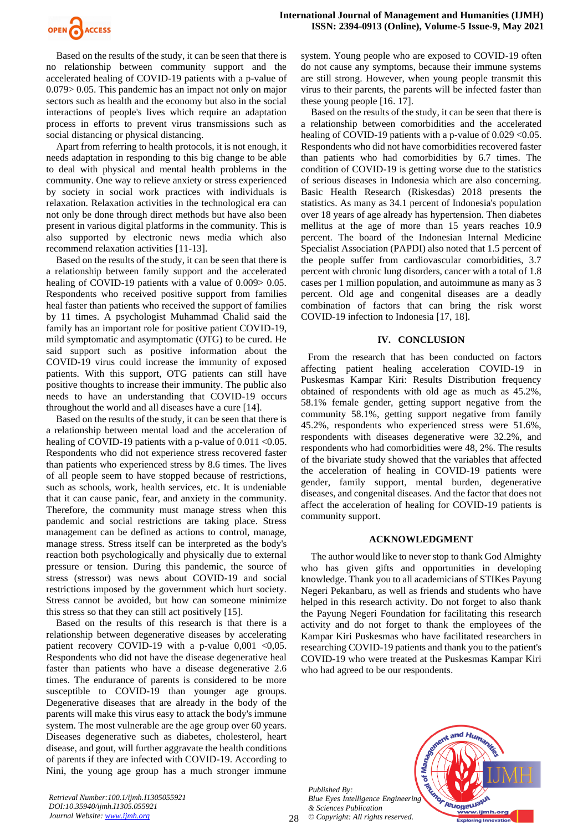

Based on the results of the study, it can be seen that there is no relationship between community support and the accelerated healing of COVID-19 patients with a p-value of 0.079> 0.05. This pandemic has an impact not only on major sectors such as health and the economy but also in the social interactions of people's lives which require an adaptation process in efforts to prevent virus transmissions such as social distancing or physical distancing.

Apart from referring to health protocols, it is not enough, it needs adaptation in responding to this big change to be able to deal with physical and mental health problems in the community. One way to relieve anxiety or stress experienced by society in social work practices with individuals is relaxation. Relaxation activities in the technological era can not only be done through direct methods but have also been present in various digital platforms in the community. This is also supported by electronic news media which also recommend relaxation activities [11-13].

Based on the results of the study, it can be seen that there is a relationship between family support and the accelerated healing of COVID-19 patients with a value of 0.009> 0.05. Respondents who received positive support from families heal faster than patients who received the support of families by 11 times. A psychologist Muhammad Chalid said the family has an important role for positive patient COVID-19, mild symptomatic and asymptomatic (OTG) to be cured. He said support such as positive information about the COVID-19 virus could increase the immunity of exposed patients. With this support, OTG patients can still have positive thoughts to increase their immunity. The public also needs to have an understanding that COVID-19 occurs throughout the world and all diseases have a cure [14].

Based on the results of the study, it can be seen that there is a relationship between mental load and the acceleration of healing of COVID-19 patients with a p-value of 0.011 < 0.05. Respondents who did not experience stress recovered faster than patients who experienced stress by 8.6 times. The lives of all people seem to have stopped because of restrictions, such as schools, work, health services, etc. It is undeniable that it can cause panic, fear, and anxiety in the community. Therefore, the community must manage stress when this pandemic and social restrictions are taking place. Stress management can be defined as actions to control, manage, manage stress. Stress itself can be interpreted as the body's reaction both psychologically and physically due to external pressure or tension. During this pandemic, the source of stress (stressor) was news about COVID-19 and social restrictions imposed by the government which hurt society. Stress cannot be avoided, but how can someone minimize this stress so that they can still act positively [15].

Based on the results of this research is that there is a relationship between degenerative diseases by accelerating patient recovery COVID-19 with a p-value  $0,001$  <0,05. Respondents who did not have the disease degenerative heal faster than patients who have a disease degenerative 2.6 times. The endurance of parents is considered to be more susceptible to COVID-19 than younger age groups. Degenerative diseases that are already in the body of the parents will make this virus easy to attack the body's immune system. The most vulnerable are the age group over 60 years. Diseases degenerative such as diabetes, cholesterol, heart disease, and gout, will further aggravate the health conditions of parents if they are infected with COVID-19. According to Nini, the young age group has a much stronger immune system. Young people who are exposed to COVID-19 often do not cause any symptoms, because their immune systems are still strong. However, when young people transmit this virus to their parents, the parents will be infected faster than these young people [16. 17].

Based on the results of the study, it can be seen that there is a relationship between comorbidities and the accelerated healing of COVID-19 patients with a p-value of  $0.029 < 0.05$ . Respondents who did not have comorbidities recovered faster than patients who had comorbidities by 6.7 times. The condition of COVID-19 is getting worse due to the statistics of serious diseases in Indonesia which are also concerning. Basic Health Research (Riskesdas) 2018 presents the statistics. As many as 34.1 percent of Indonesia's population over 18 years of age already has hypertension. Then diabetes mellitus at the age of more than 15 years reaches 10.9 percent. The board of the Indonesian Internal Medicine Specialist Association (PAPDI) also noted that 1.5 percent of the people suffer from cardiovascular comorbidities, 3.7 percent with chronic lung disorders, cancer with a total of 1.8 cases per 1 million population, and autoimmune as many as 3 percent. Old age and congenital diseases are a deadly combination of factors that can bring the risk worst COVID-19 infection to Indonesia [17, 18].

#### **IV. CONCLUSION**

From the research that has been conducted on factors affecting patient healing acceleration COVID-19 in Puskesmas Kampar Kiri: Results Distribution frequency obtained of respondents with old age as much as 45.2%, 58.1% female gender, getting support negative from the community 58.1%, getting support negative from family 45.2%, respondents who experienced stress were 51.6%, respondents with diseases degenerative were 32.2%, and respondents who had comorbidities were 48, 2%. The results of the bivariate study showed that the variables that affected the acceleration of healing in COVID-19 patients were gender, family support, mental burden, degenerative diseases, and congenital diseases. And the factor that does not affect the acceleration of healing for COVID-19 patients is community support.

#### **ACKNOWLEDGMENT**

The author would like to never stop to thank God Almighty who has given gifts and opportunities in developing knowledge. Thank you to all academicians of STIKes Payung Negeri Pekanbaru, as well as friends and students who have helped in this research activity. Do not forget to also thank the Payung Negeri Foundation for facilitating this research activity and do not forget to thank the employees of the Kampar Kiri Puskesmas who have facilitated researchers in researching COVID-19 patients and thank you to the patient's COVID-19 who were treated at the Puskesmas Kampar Kiri who had agreed to be our respondents.

*Published By: Blue Eyes Intelligence Engineering & Sciences Publication © Copyright: All rights reserved.*



*Retrieval Number:100.1/ijmh.I1305055921 DOI:10.35940/ijmh.I1305.055921 Journal Website[: www.ijmh.org](http://www.ijmh.org/)*